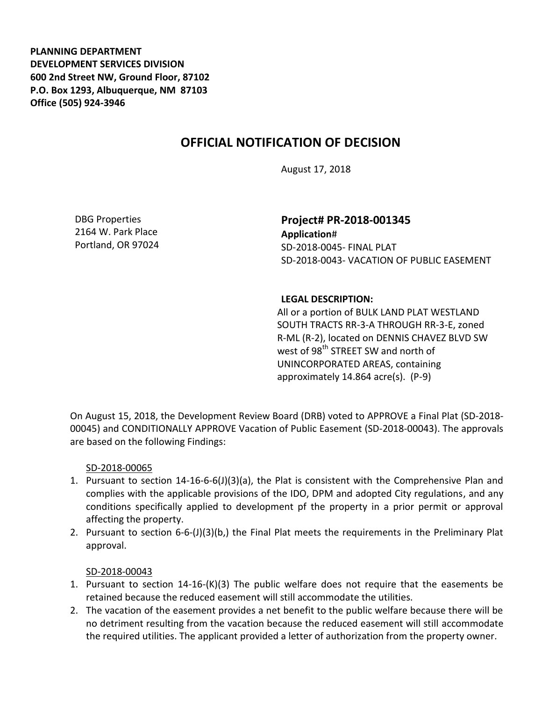**PLANNING DEPARTMENT DEVELOPMENT SERVICES DIVISION 600 2nd Street NW, Ground Floor, 87102 P.O. Box 1293, Albuquerque, NM 87103 Office (505) 924-3946** 

## **OFFICIAL NOTIFICATION OF DECISION**

August 17, 2018

DBG Properties 2164 W. Park Place Portland, OR 97024

**Project# PR-2018-001345 Application**# SD-2018-0045- FINAL PLAT SD-2018-0043- VACATION OF PUBLIC EASEMENT

## **LEGAL DESCRIPTION:**

All or a portion of BULK LAND PLAT WESTLAND SOUTH TRACTS RR-3-A THROUGH RR-3-E, zoned R-ML (R-2), located on DENNIS CHAVEZ BLVD SW west of 98<sup>th</sup> STREET SW and north of UNINCORPORATED AREAS, containing approximately 14.864 acre(s). (P-9)

On August 15, 2018, the Development Review Board (DRB) voted to APPROVE a Final Plat (SD-2018- 00045) and CONDITIONALLY APPROVE Vacation of Public Easement (SD-2018-00043). The approvals are based on the following Findings:

## SD-2018-00065

- 1. Pursuant to section 14-16-6-6(J)(3)(a), the Plat is consistent with the Comprehensive Plan and complies with the applicable provisions of the IDO, DPM and adopted City regulations, and any conditions specifically applied to development pf the property in a prior permit or approval affecting the property.
- 2. Pursuant to section 6-6-(J)(3)(b,) the Final Plat meets the requirements in the Preliminary Plat approval.

## SD-2018-00043

- 1. Pursuant to section 14-16-(K)(3) The public welfare does not require that the easements be retained because the reduced easement will still accommodate the utilities.
- 2. The vacation of the easement provides a net benefit to the public welfare because there will be no detriment resulting from the vacation because the reduced easement will still accommodate the required utilities. The applicant provided a letter of authorization from the property owner.